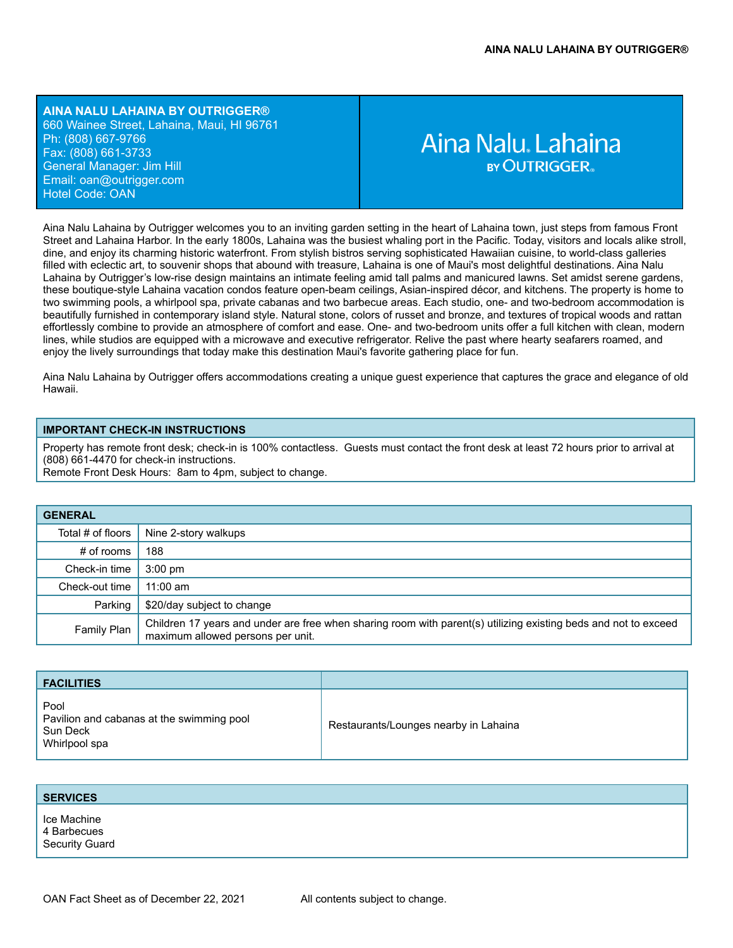**AINA NALU LAHAINA BY OUTRIGGER®** 660 Wainee Street, Lahaina, Maui, HI 96761 Ph: (808) 667-9766 Fax: (808) 661-3733 General Manager: Jim Hill Email: oa[n@outrigger.com](mailto:orf@outrigger.com) Hotel Code: OAN

# Aina Nalu, Lahaina **BY OUTRIGGER**

Aina Nalu Lahaina by Outrigger welcomes you to an inviting garden setting in the heart of Lahaina town, just steps from famous Front Street and Lahaina Harbor. In the early 1800s, Lahaina was the busiest whaling port in the Pacific. Today, visitors and locals alike stroll, dine, and enjoy its charming historic waterfront. From stylish bistros serving sophisticated Hawaiian cuisine, to world-class galleries filled with eclectic art, to souvenir shops that abound with treasure, Lahaina is one of Maui's most delightful destinations. Aina Nalu Lahaina by Outrigger's low-rise design maintains an intimate feeling amid tall palms and manicured lawns. Set amidst serene gardens, these boutique-style Lahaina vacation condos feature open-beam ceilings, Asian-inspired décor, and kitchens. The property is home to two swimming pools, a whirlpool spa, private cabanas and two barbecue areas. Each studio, one- and two-bedroom accommodation is beautifully furnished in contemporary island style. Natural stone, colors of russet and bronze, and textures of tropical woods and rattan effortlessly combine to provide an atmosphere of comfort and ease. One- and two-bedroom units offer a full kitchen with clean, modern lines, while studios are equipped with a microwave and executive refrigerator. Relive the past where hearty seafarers roamed, and enjoy the lively surroundings that today make this destination Maui's favorite gathering place for fun.

Aina Nalu Lahaina by Outrigger offers accommodations creating a unique guest experience that captures the grace and elegance of old Hawaii.

## **IMPORTANT CHECK-IN INSTRUCTIONS**

Property has remote front desk; check-in is 100% contactless. Guests must contact the front desk at least 72 hours prior to arrival at (808) 661-4470 for check-in instructions.

Remote Front Desk Hours: 8am to 4pm, subject to change.

| <b>GENERAL</b>     |                                                                                                                                                      |
|--------------------|------------------------------------------------------------------------------------------------------------------------------------------------------|
| Total # of floors  | Nine 2-story walkups                                                                                                                                 |
| $#$ of rooms       | 188                                                                                                                                                  |
| Check-in time      | $3:00 \text{ pm}$                                                                                                                                    |
| Check-out time     | $11:00$ am                                                                                                                                           |
| Parking            | \$20/day subject to change                                                                                                                           |
| <b>Family Plan</b> | Children 17 years and under are free when sharing room with parent(s) utilizing existing beds and not to exceed<br>maximum allowed persons per unit. |

| <b>FACILITIES</b>                                                              |                                       |
|--------------------------------------------------------------------------------|---------------------------------------|
| Pool<br>Pavilion and cabanas at the swimming pool<br>Sun Deck<br>Whirlpool spa | Restaurants/Lounges nearby in Lahaina |

| <b>SERVICES</b>                              |  |  |
|----------------------------------------------|--|--|
| Ice Machine<br>4 Barbecues<br>Security Guard |  |  |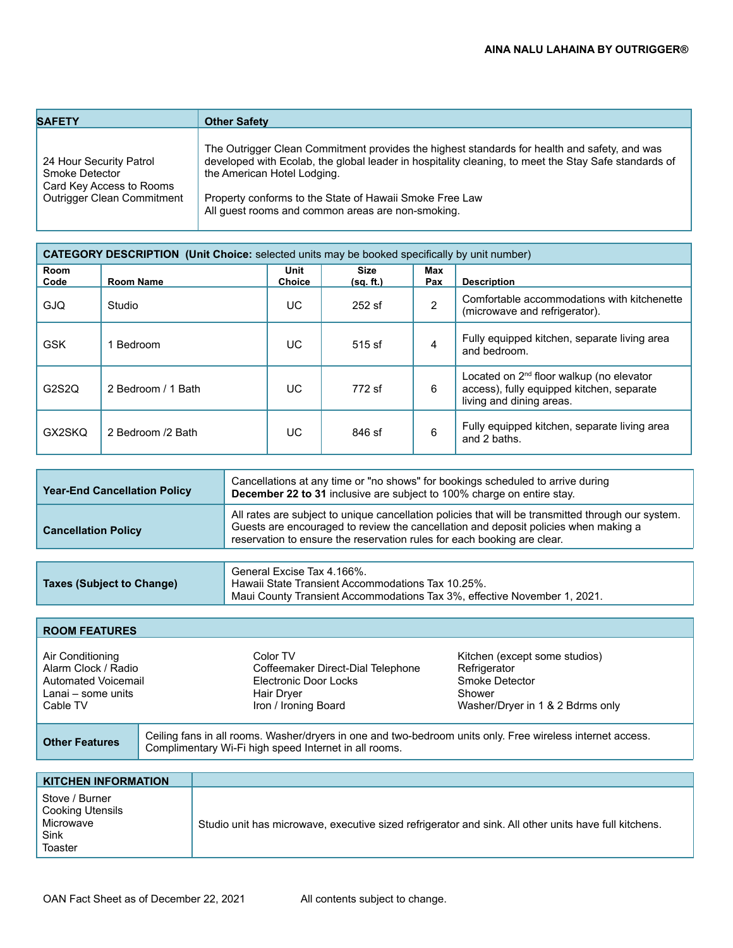| <b>SAFETY</b>                                                                                       | <b>Other Safety</b>                                                                                                                                                                                                                                                                                                                                 |
|-----------------------------------------------------------------------------------------------------|-----------------------------------------------------------------------------------------------------------------------------------------------------------------------------------------------------------------------------------------------------------------------------------------------------------------------------------------------------|
| 24 Hour Security Patrol<br>Smoke Detector<br>Card Key Access to Rooms<br>Outrigger Clean Commitment | The Outrigger Clean Commitment provides the highest standards for health and safety, and was<br>developed with Ecolab, the global leader in hospitality cleaning, to meet the Stay Safe standards of<br>the American Hotel Lodging.<br>Property conforms to the State of Hawaii Smoke Free Law<br>All quest rooms and common areas are non-smoking. |

| <b>CATEGORY DESCRIPTION (Unit Choice:</b> selected units may be booked specifically by unit number) |                    |                       |                          |                |                                                                                                                               |
|-----------------------------------------------------------------------------------------------------|--------------------|-----------------------|--------------------------|----------------|-------------------------------------------------------------------------------------------------------------------------------|
| Room<br>Code                                                                                        | Room Name          | Unit<br><b>Choice</b> | <b>Size</b><br>(sq. ft.) | Max<br>Pax     | <b>Description</b>                                                                                                            |
| <b>GJQ</b>                                                                                          | Studio             | UC.                   | 252sf                    | $\overline{2}$ | Comfortable accommodations with kitchenette<br>(microwave and refrigerator).                                                  |
| <b>GSK</b>                                                                                          | Bedroom            | UC                    | $515$ sf                 | 4              | Fully equipped kitchen, separate living area<br>and bedroom.                                                                  |
| G2S2Q                                                                                               | 2 Bedroom / 1 Bath | UC                    | 772 sf                   | 6              | Located on 2 <sup>nd</sup> floor walkup (no elevator<br>access), fully equipped kitchen, separate<br>living and dining areas. |
| GX2SKQ                                                                                              | 2 Bedroom /2 Bath  | UC                    | 846 sf                   | 6              | Fully equipped kitchen, separate living area<br>and 2 baths.                                                                  |

| <b>Year-End Cancellation Policy</b> | Cancellations at any time or "no shows" for bookings scheduled to arrive during<br>December 22 to 31 inclusive are subject to 100% charge on entire stay.                                                                                                            |  |
|-------------------------------------|----------------------------------------------------------------------------------------------------------------------------------------------------------------------------------------------------------------------------------------------------------------------|--|
| <b>Cancellation Policy</b>          | All rates are subject to unique cancellation policies that will be transmitted through our system.<br>Guests are encouraged to review the cancellation and deposit policies when making a<br>reservation to ensure the reservation rules for each booking are clear. |  |

|                                  | General Excise Tax 4.166%.                                               |
|----------------------------------|--------------------------------------------------------------------------|
| <b>Taxes (Subject to Change)</b> | Hawaii State Transient Accommodations Tax 10.25%.                        |
|                                  | Maui County Transient Accommodations Tax 3%, effective November 1, 2021. |

| <b>ROOM FEATURES</b>                                                                             |                                                                                                                                                                     |                                                                                                               |  |
|--------------------------------------------------------------------------------------------------|---------------------------------------------------------------------------------------------------------------------------------------------------------------------|---------------------------------------------------------------------------------------------------------------|--|
| Air Conditioning<br>Alarm Clock / Radio<br>Automated Voicemail<br>Lanai – some units<br>Cable TV | Color TV<br>Coffeemaker Direct-Dial Telephone<br>Electronic Door Locks<br>Hair Dryer<br>Iron / Ironing Board                                                        | Kitchen (except some studios)<br>Refrigerator<br>Smoke Detector<br>Shower<br>Washer/Dryer in 1 & 2 Bdrms only |  |
| <b>Other Features</b>                                                                            | Ceiling fans in all rooms. Washer/dryers in one and two-bedroom units only. Free wireless internet access.<br>Complimentary Wi-Fi high speed Internet in all rooms. |                                                                                                               |  |

| <b>KITCHEN INFORMATION</b>                                                       |                                                                                                       |
|----------------------------------------------------------------------------------|-------------------------------------------------------------------------------------------------------|
| Stove / Burner<br><b>Cooking Utensils</b><br>Microwave<br>Sink<br><b>Toaster</b> | Studio unit has microwave, executive sized refrigerator and sink. All other units have full kitchens. |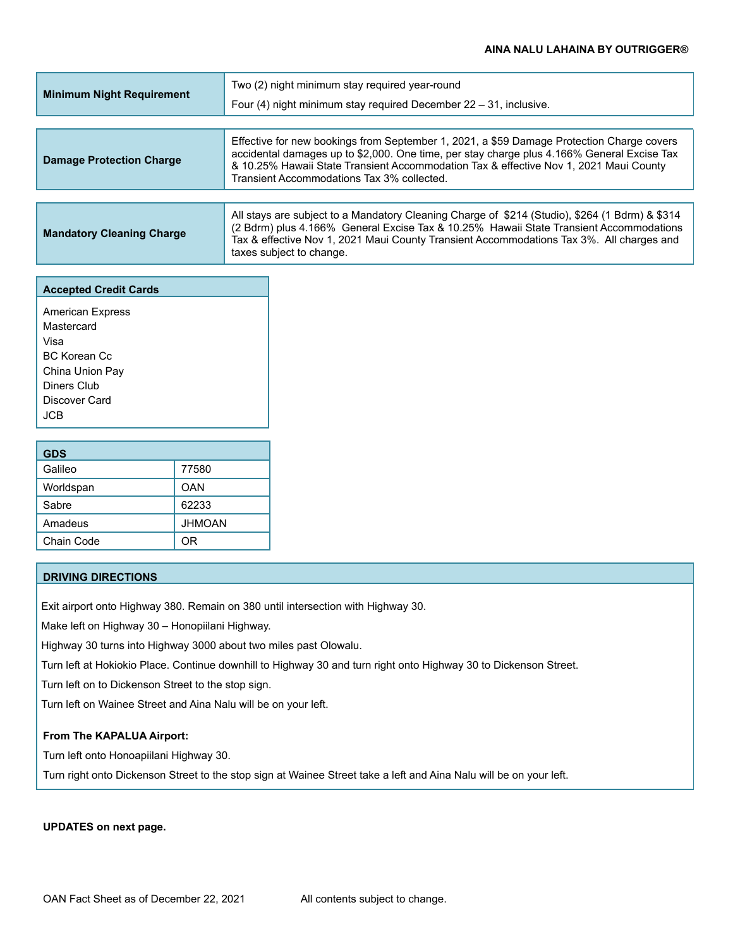| <b>Minimum Night Requirement</b> | Two (2) night minimum stay required year-round<br>Four (4) night minimum stay required December 22 – 31, inclusive.                                                                                                                                                                                                            |  |
|----------------------------------|--------------------------------------------------------------------------------------------------------------------------------------------------------------------------------------------------------------------------------------------------------------------------------------------------------------------------------|--|
|                                  |                                                                                                                                                                                                                                                                                                                                |  |
| <b>Damage Protection Charge</b>  | Effective for new bookings from September 1, 2021, a \$59 Damage Protection Charge covers<br>accidental damages up to \$2,000. One time, per stay charge plus 4.166% General Excise Tax<br>& 10.25% Hawaii State Transient Accommodation Tax & effective Nov 1, 2021 Maui County<br>Transient Accommodations Tax 3% collected. |  |
|                                  |                                                                                                                                                                                                                                                                                                                                |  |
| <b>Mandatory Cleaning Charge</b> | All stays are subject to a Mandatory Cleaning Charge of \$214 (Studio), \$264 (1 Bdrm) & \$314<br>(2 Bdrm) plus 4.166% General Excise Tax & 10.25% Hawaii State Transient Accommodations<br>Tax & effective Nov 1, 2021 Maui County Transient Accommodations Tax 3%. All charges and<br>taxes subject to change.               |  |

| <b>Accepted Credit Cards</b> |
|------------------------------|
|                              |
| <b>American Express</b>      |
| Mastercard                   |
| Visa                         |
| BC Korean Cc                 |
| China Union Pay              |
| Diners Club                  |
| Discover Card                |
| .ICB                         |
|                              |

| <b>GDS</b> |               |  |
|------------|---------------|--|
| Galileo    | 77580         |  |
| Worldspan  | <b>OAN</b>    |  |
| Sabre      | 62233         |  |
| Amadeus    | <b>JHMOAN</b> |  |
| Chain Code | ΩR            |  |

# **DRIVING DIRECTIONS**

Exit airport onto Highway 380. Remain on 380 until intersection with Highway 30.

Make left on Highway 30 – Honopiilani Highway.

Highway 30 turns into Highway 3000 about two miles past Olowalu.

Turn left at Hokiokio Place. Continue downhill to Highway 30 and turn right onto Highway 30 to Dickenson Street.

Turn left on to Dickenson Street to the stop sign.

Turn left on Wainee Street and Aina Nalu will be on your left.

#### **From The KAPALUA Airport:**

Turn left onto Honoapiilani Highway 30.

Turn right onto Dickenson Street to the stop sign at Wainee Street take a left and Aina Nalu will be on your left.

**UPDATES on next page.**